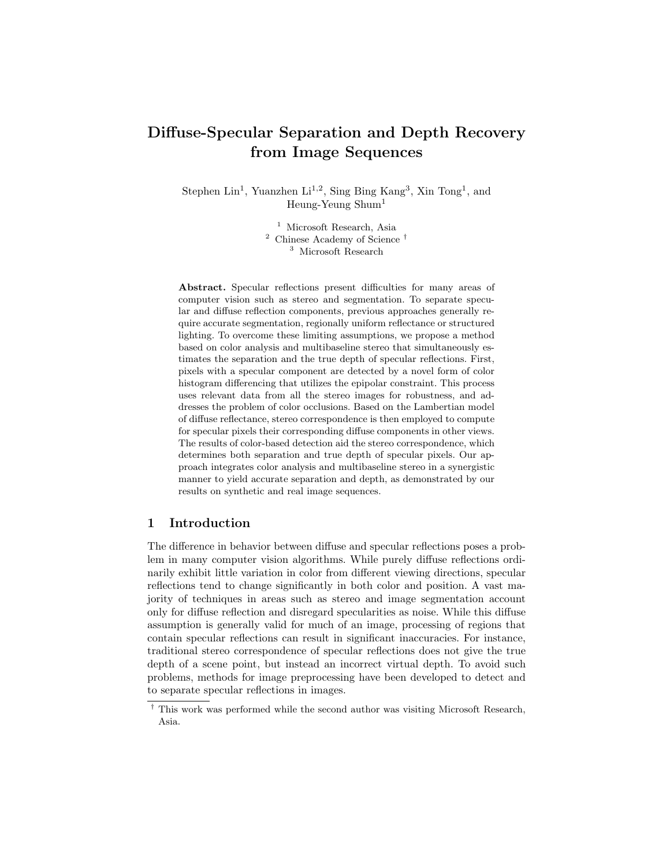# Diffuse-Specular Separation and Depth Recovery from Image Sequences

Stephen  $\text{Lin}^1$ , Yuanzhen  $\text{Li}^{1,2}$ , Sing Bing Kang<sup>3</sup>, Xin Tong<sup>1</sup>, and Heung-Yeung Shum<sup>1</sup>

> <sup>1</sup> Microsoft Research, Asia  $^2$  Chinese Academy of Science  $^\dagger$ <sup>3</sup> Microsoft Research

Abstract. Specular reflections present difficulties for many areas of computer vision such as stereo and segmentation. To separate specular and diffuse reflection components, previous approaches generally require accurate segmentation, regionally uniform reflectance or structured lighting. To overcome these limiting assumptions, we propose a method based on color analysis and multibaseline stereo that simultaneously estimates the separation and the true depth of specular reflections. First, pixels with a specular component are detected by a novel form of color histogram differencing that utilizes the epipolar constraint. This process uses relevant data from all the stereo images for robustness, and addresses the problem of color occlusions. Based on the Lambertian model of diffuse reflectance, stereo correspondence is then employed to compute for specular pixels their corresponding diffuse components in other views. The results of color-based detection aid the stereo correspondence, which determines both separation and true depth of specular pixels. Our approach integrates color analysis and multibaseline stereo in a synergistic manner to yield accurate separation and depth, as demonstrated by our results on synthetic and real image sequences.

## 1 Introduction

The difference in behavior between diffuse and specular reflections poses a problem in many computer vision algorithms. While purely diffuse reflections ordinarily exhibit little variation in color from different viewing directions, specular reflections tend to change significantly in both color and position. A vast majority of techniques in areas such as stereo and image segmentation account only for diffuse reflection and disregard specularities as noise. While this diffuse assumption is generally valid for much of an image, processing of regions that contain specular reflections can result in significant inaccuracies. For instance, traditional stereo correspondence of specular reflections does not give the true depth of a scene point, but instead an incorrect virtual depth. To avoid such problems, methods for image preprocessing have been developed to detect and to separate specular reflections in images.

<sup>†</sup> This work was performed while the second author was visiting Microsoft Research, Asia.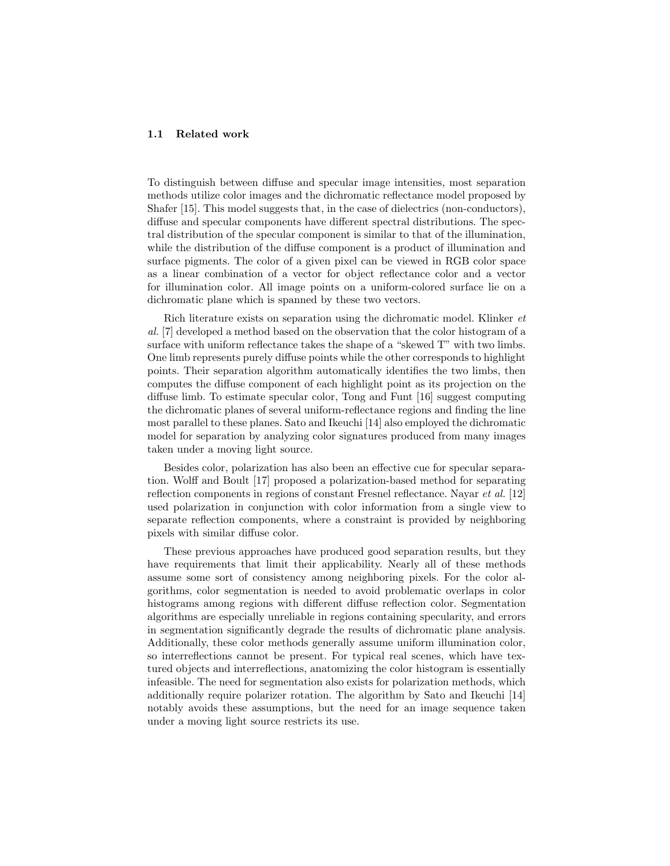#### 1.1 Related work

To distinguish between diffuse and specular image intensities, most separation methods utilize color images and the dichromatic reflectance model proposed by Shafer [15]. This model suggests that, in the case of dielectrics (non-conductors), diffuse and specular components have different spectral distributions. The spectral distribution of the specular component is similar to that of the illumination, while the distribution of the diffuse component is a product of illumination and surface pigments. The color of a given pixel can be viewed in RGB color space as a linear combination of a vector for object reflectance color and a vector for illumination color. All image points on a uniform-colored surface lie on a dichromatic plane which is spanned by these two vectors.

Rich literature exists on separation using the dichromatic model. Klinker et al. [7] developed a method based on the observation that the color histogram of a surface with uniform reflectance takes the shape of a "skewed T" with two limbs. One limb represents purely diffuse points while the other corresponds to highlight points. Their separation algorithm automatically identifies the two limbs, then computes the diffuse component of each highlight point as its projection on the diffuse limb. To estimate specular color, Tong and Funt [16] suggest computing the dichromatic planes of several uniform-reflectance regions and finding the line most parallel to these planes. Sato and Ikeuchi [14] also employed the dichromatic model for separation by analyzing color signatures produced from many images taken under a moving light source.

Besides color, polarization has also been an effective cue for specular separation. Wolff and Boult [17] proposed a polarization-based method for separating reflection components in regions of constant Fresnel reflectance. Nayar et al. [12] used polarization in conjunction with color information from a single view to separate reflection components, where a constraint is provided by neighboring pixels with similar diffuse color.

These previous approaches have produced good separation results, but they have requirements that limit their applicability. Nearly all of these methods assume some sort of consistency among neighboring pixels. For the color algorithms, color segmentation is needed to avoid problematic overlaps in color histograms among regions with different diffuse reflection color. Segmentation algorithms are especially unreliable in regions containing specularity, and errors in segmentation significantly degrade the results of dichromatic plane analysis. Additionally, these color methods generally assume uniform illumination color, so interreflections cannot be present. For typical real scenes, which have textured objects and interreflections, anatomizing the color histogram is essentially infeasible. The need for segmentation also exists for polarization methods, which additionally require polarizer rotation. The algorithm by Sato and Ikeuchi [14] notably avoids these assumptions, but the need for an image sequence taken under a moving light source restricts its use.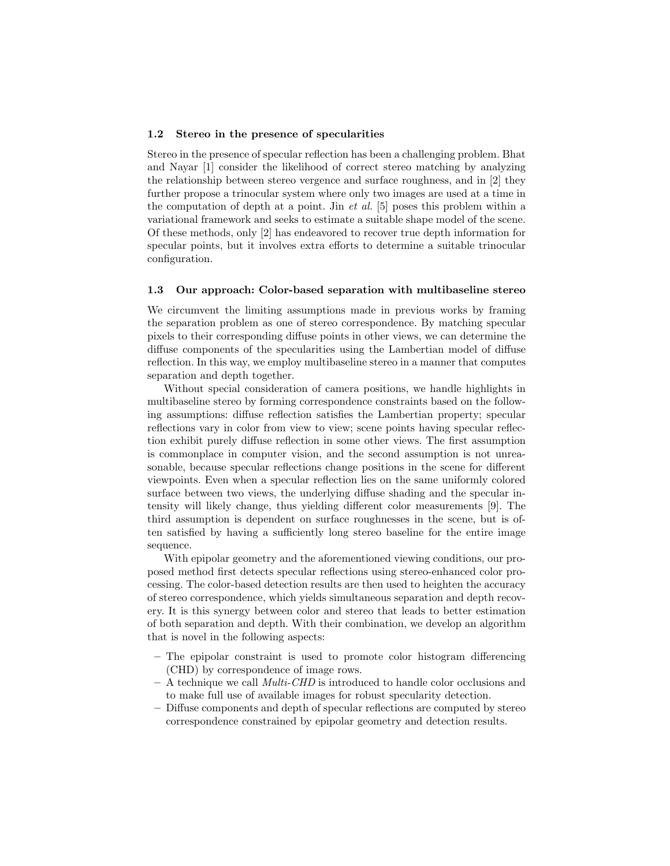#### 1.2 Stereo in the presence of specularities

Stereo in the presence of specular reflection has been a challenging problem. Bhat and Nayar [1] consider the likelihood of correct stereo matching by analyzing the relationship between stereo vergence and surface roughness, and in [2] they further propose a trinocular system where only two images are used at a time in the computation of depth at a point. Jin *et al.* [5] poses this problem within a variational framework and seeks to estimate a suitable shape model of the scene. Of these methods, only [2] has endeavored to recover true depth information for specular points, but it involves extra efforts to determine a suitable trinocular configuration.

#### 1.3 Our approach: Color-based separation with multibaseline stereo

We circumvent the limiting assumptions made in previous works by framing the separation problem as one of stereo correspondence. By matching specular pixels to their corresponding diffuse points in other views, we can determine the diffuse components of the specularities using the Lambertian model of diffuse reflection. In this way, we employ multibaseline stereo in a manner that computes separation and depth together.

Without special consideration of camera positions, we handle highlights in multibaseline stereo by forming correspondence constraints based on the following assumptions: diffuse reflection satisfies the Lambertian property; specular reflections vary in color from view to view; scene points having specular reflection exhibit purely diffuse reflection in some other views. The first assumption is commonplace in computer vision, and the second assumption is not unreasonable, because specular reflections change positions in the scene for different viewpoints. Even when a specular reflection lies on the same uniformly colored surface between two views, the underlying diffuse shading and the specular intensity will likely change, thus yielding different color measurements [9]. The third assumption is dependent on surface roughnesses in the scene, but is often satisfied by having a sufficiently long stereo baseline for the entire image sequence.

With epipolar geometry and the aforementioned viewing conditions, our proposed method first detects specular reflections using stereo-enhanced color processing. The color-based detection results are then used to heighten the accuracy of stereo correspondence, which yields simultaneous separation and depth recovery. It is this synergy between color and stereo that leads to better estimation of both separation and depth. With their combination, we develop an algorithm that is novel in the following aspects:

- The epipolar constraint is used to promote color histogram differencing (CHD) by correspondence of image rows.
- $-$  A technique we call *Multi-CHD* is introduced to handle color occlusions and to make full use of available images for robust specularity detection.
- Diffuse components and depth of specular reflections are computed by stereo correspondence constrained by epipolar geometry and detection results.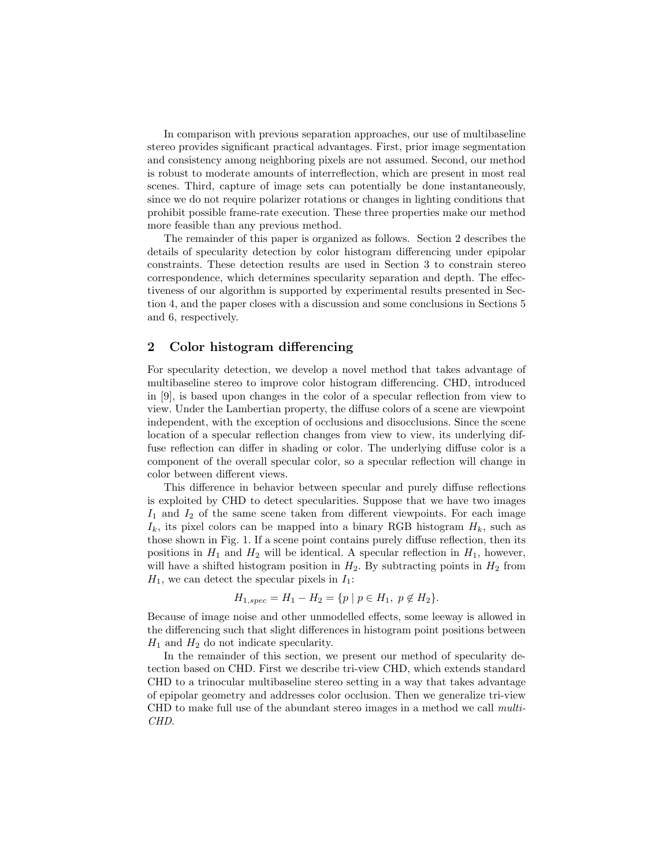In comparison with previous separation approaches, our use of multibaseline stereo provides significant practical advantages. First, prior image segmentation and consistency among neighboring pixels are not assumed. Second, our method is robust to moderate amounts of interreflection, which are present in most real scenes. Third, capture of image sets can potentially be done instantaneously, since we do not require polarizer rotations or changes in lighting conditions that prohibit possible frame-rate execution. These three properties make our method more feasible than any previous method.

The remainder of this paper is organized as follows. Section 2 describes the details of specularity detection by color histogram differencing under epipolar constraints. These detection results are used in Section 3 to constrain stereo correspondence, which determines specularity separation and depth. The effectiveness of our algorithm is supported by experimental results presented in Section 4, and the paper closes with a discussion and some conclusions in Sections 5 and 6, respectively.

## 2 Color histogram differencing

For specularity detection, we develop a novel method that takes advantage of multibaseline stereo to improve color histogram differencing. CHD, introduced in [9], is based upon changes in the color of a specular reflection from view to view. Under the Lambertian property, the diffuse colors of a scene are viewpoint independent, with the exception of occlusions and disocclusions. Since the scene location of a specular reflection changes from view to view, its underlying diffuse reflection can differ in shading or color. The underlying diffuse color is a component of the overall specular color, so a specular reflection will change in color between different views.

This difference in behavior between specular and purely diffuse reflections is exploited by CHD to detect specularities. Suppose that we have two images  $I_1$  and  $I_2$  of the same scene taken from different viewpoints. For each image  $I_k$ , its pixel colors can be mapped into a binary RGB histogram  $H_k$ , such as those shown in Fig. 1. If a scene point contains purely diffuse reflection, then its positions in  $H_1$  and  $H_2$  will be identical. A specular reflection in  $H_1$ , however, will have a shifted histogram position in  $H_2$ . By subtracting points in  $H_2$  from  $H_1$ , we can detect the specular pixels in  $I_1$ :

$$
H_{1,spec} = H_1 - H_2 = \{ p \mid p \in H_1, p \notin H_2 \}.
$$

Because of image noise and other unmodelled effects, some leeway is allowed in the differencing such that slight differences in histogram point positions between  $H_1$  and  $H_2$  do not indicate specularity.

In the remainder of this section, we present our method of specularity detection based on CHD. First we describe tri-view CHD, which extends standard CHD to a trinocular multibaseline stereo setting in a way that takes advantage of epipolar geometry and addresses color occlusion. Then we generalize tri-view CHD to make full use of the abundant stereo images in a method we call multi-CHD.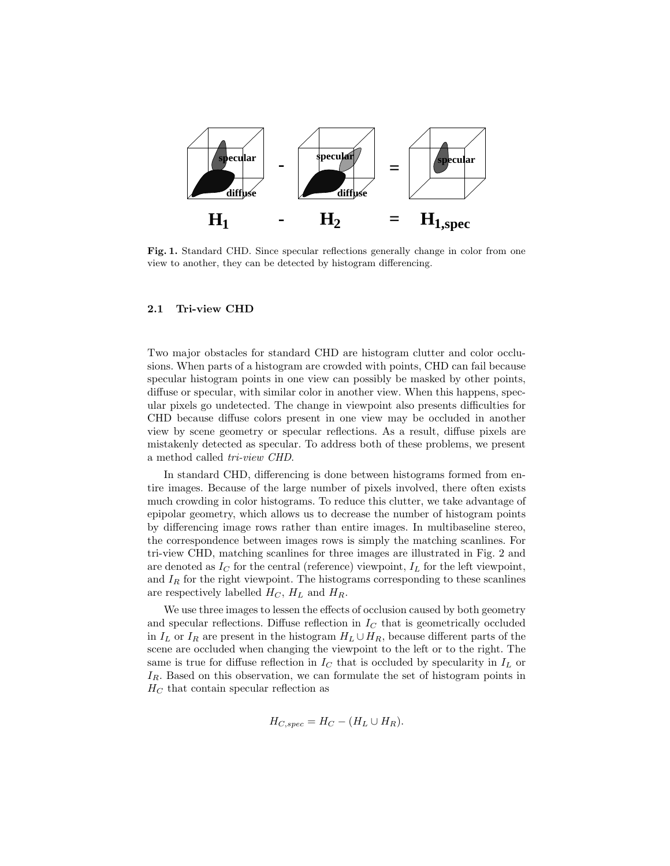

Fig. 1. Standard CHD. Since specular reflections generally change in color from one view to another, they can be detected by histogram differencing.

#### 2.1 Tri-view CHD

Two major obstacles for standard CHD are histogram clutter and color occlusions. When parts of a histogram are crowded with points, CHD can fail because specular histogram points in one view can possibly be masked by other points, diffuse or specular, with similar color in another view. When this happens, specular pixels go undetected. The change in viewpoint also presents difficulties for CHD because diffuse colors present in one view may be occluded in another view by scene geometry or specular reflections. As a result, diffuse pixels are mistakenly detected as specular. To address both of these problems, we present a method called tri-view CHD.

In standard CHD, differencing is done between histograms formed from entire images. Because of the large number of pixels involved, there often exists much crowding in color histograms. To reduce this clutter, we take advantage of epipolar geometry, which allows us to decrease the number of histogram points by differencing image rows rather than entire images. In multibaseline stereo, the correspondence between images rows is simply the matching scanlines. For tri-view CHD, matching scanlines for three images are illustrated in Fig. 2 and are denoted as  $I_C$  for the central (reference) viewpoint,  $I_L$  for the left viewpoint, and  $I_R$  for the right viewpoint. The histograms corresponding to these scanlines are respectively labelled  $H_C$ ,  $H_L$  and  $H_R$ .

We use three images to lessen the effects of occlusion caused by both geometry and specular reflections. Diffuse reflection in  $I_C$  that is geometrically occluded in  $I_L$  or  $I_R$  are present in the histogram  $H_L \cup H_R$ , because different parts of the scene are occluded when changing the viewpoint to the left or to the right. The same is true for diffuse reflection in  $I_C$  that is occluded by specularity in  $I_L$  or  $I_R$ . Based on this observation, we can formulate the set of histogram points in  $H_C$  that contain specular reflection as

$$
H_{C,spec} = H_C - (H_L \cup H_R).
$$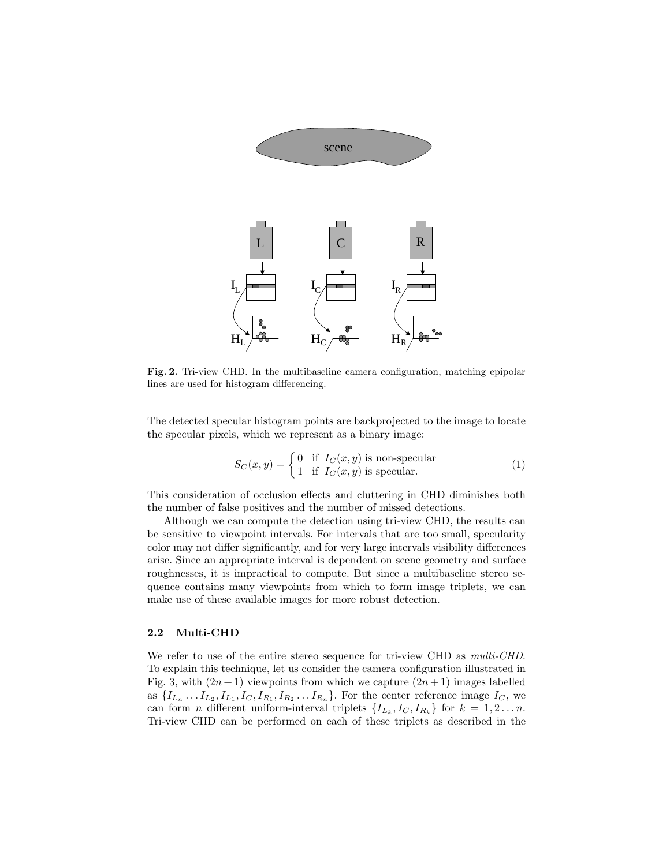

Fig. 2. Tri-view CHD. In the multibaseline camera configuration, matching epipolar lines are used for histogram differencing.

The detected specular histogram points are backprojected to the image to locate the specular pixels, which we represent as a binary image:

$$
S_C(x,y) = \begin{cases} 0 & \text{if } I_C(x,y) \text{ is non-specular} \\ 1 & \text{if } I_C(x,y) \text{ is specular.} \end{cases}
$$
 (1)

This consideration of occlusion effects and cluttering in CHD diminishes both the number of false positives and the number of missed detections.

Although we can compute the detection using tri-view CHD, the results can be sensitive to viewpoint intervals. For intervals that are too small, specularity color may not differ significantly, and for very large intervals visibility differences arise. Since an appropriate interval is dependent on scene geometry and surface roughnesses, it is impractical to compute. But since a multibaseline stereo sequence contains many viewpoints from which to form image triplets, we can make use of these available images for more robust detection.

#### 2.2 Multi-CHD

We refer to use of the entire stereo sequence for tri-view CHD as multi-CHD. To explain this technique, let us consider the camera configuration illustrated in Fig. 3, with  $(2n+1)$  viewpoints from which we capture  $(2n+1)$  images labelled as  $\{I_{L_n}\ldots I_{L_2}, I_{L_1}, I_C, I_{R_1}, I_{R_2}\ldots I_{R_n}\}$ . For the center reference image  $I_C$ , we can form *n* different uniform-interval triplets  $\{I_{L_k}, I_C, I_{R_k}\}\$  for  $k = 1, 2...n$ . Tri-view CHD can be performed on each of these triplets as described in the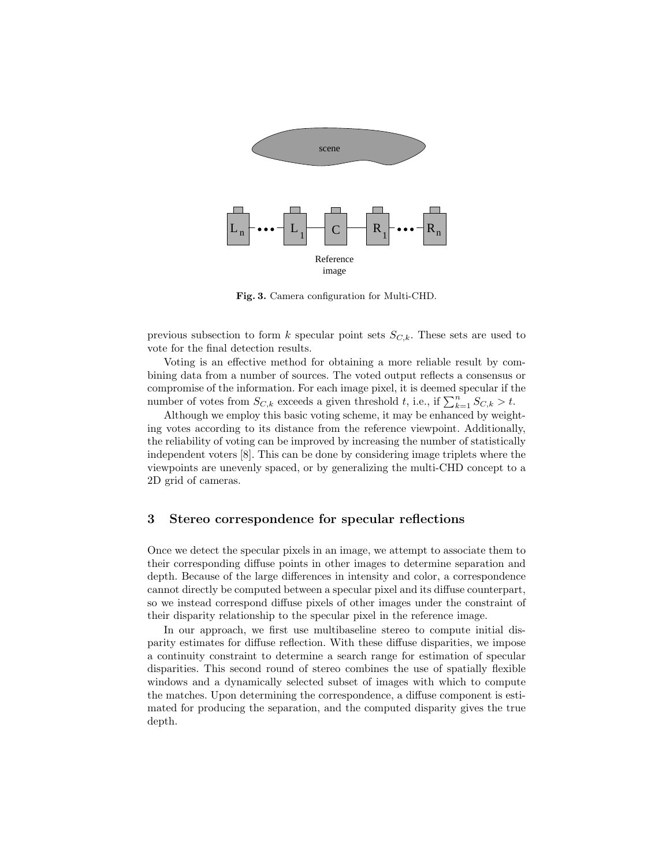

Fig. 3. Camera configuration for Multi-CHD.

previous subsection to form k specular point sets  $S_{C,k}$ . These sets are used to vote for the final detection results.

Voting is an effective method for obtaining a more reliable result by combining data from a number of sources. The voted output reflects a consensus or compromise of the information. For each image pixel, it is deemed specular if the compromise of the information. For each image pixel, it is deemed specular if the number of votes from  $S_{C,k}$  exceeds a given threshold t, i.e., if  $\sum_{k=1}^{n} S_{C,k} > t$ .

Although we employ this basic voting scheme, it may be enhanced by weighting votes according to its distance from the reference viewpoint. Additionally, the reliability of voting can be improved by increasing the number of statistically independent voters [8]. This can be done by considering image triplets where the viewpoints are unevenly spaced, or by generalizing the multi-CHD concept to a 2D grid of cameras.

## 3 Stereo correspondence for specular reflections

Once we detect the specular pixels in an image, we attempt to associate them to their corresponding diffuse points in other images to determine separation and depth. Because of the large differences in intensity and color, a correspondence cannot directly be computed between a specular pixel and its diffuse counterpart, so we instead correspond diffuse pixels of other images under the constraint of their disparity relationship to the specular pixel in the reference image.

In our approach, we first use multibaseline stereo to compute initial disparity estimates for diffuse reflection. With these diffuse disparities, we impose a continuity constraint to determine a search range for estimation of specular disparities. This second round of stereo combines the use of spatially flexible windows and a dynamically selected subset of images with which to compute the matches. Upon determining the correspondence, a diffuse component is estimated for producing the separation, and the computed disparity gives the true depth.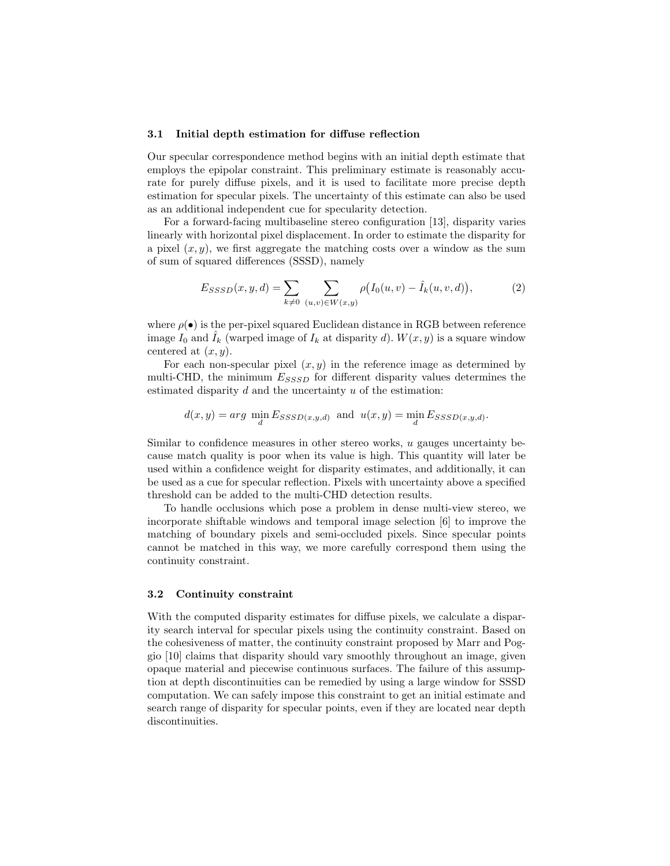#### 3.1 Initial depth estimation for diffuse reflection

Our specular correspondence method begins with an initial depth estimate that employs the epipolar constraint. This preliminary estimate is reasonably accurate for purely diffuse pixels, and it is used to facilitate more precise depth estimation for specular pixels. The uncertainty of this estimate can also be used as an additional independent cue for specularity detection.

For a forward-facing multibaseline stereo configuration [13], disparity varies linearly with horizontal pixel displacement. In order to estimate the disparity for a pixel  $(x, y)$ , we first aggregate the matching costs over a window as the sum of sum of squared differences (SSSD), namely

$$
E_{SSSD}(x, y, d) = \sum_{k \neq 0} \sum_{(u,v) \in W(x, y)} \rho(I_0(u, v) - \hat{I}_k(u, v, d)),
$$
 (2)

where  $\rho(\bullet)$  is the per-pixel squared Euclidean distance in RGB between reference image  $I_0$  and  $\hat{I}_k$  (warped image of  $I_k$  at disparity d).  $W(x, y)$  is a square window centered at  $(x, y)$ .

For each non-specular pixel  $(x, y)$  in the reference image as determined by multi-CHD, the minimum  $E_{SSSD}$  for different disparity values determines the estimated disparity  $d$  and the uncertainty  $u$  of the estimation:

$$
d(x,y) = arg \min_{d} E_{SSSD(x,y,d)} \text{ and } u(x,y) = \min_{d} E_{SSSD(x,y,d)}.
$$

Similar to confidence measures in other stereo works, u gauges uncertainty because match quality is poor when its value is high. This quantity will later be used within a confidence weight for disparity estimates, and additionally, it can be used as a cue for specular reflection. Pixels with uncertainty above a specified threshold can be added to the multi-CHD detection results.

To handle occlusions which pose a problem in dense multi-view stereo, we incorporate shiftable windows and temporal image selection [6] to improve the matching of boundary pixels and semi-occluded pixels. Since specular points cannot be matched in this way, we more carefully correspond them using the continuity constraint.

#### 3.2 Continuity constraint

With the computed disparity estimates for diffuse pixels, we calculate a disparity search interval for specular pixels using the continuity constraint. Based on the cohesiveness of matter, the continuity constraint proposed by Marr and Poggio [10] claims that disparity should vary smoothly throughout an image, given opaque material and piecewise continuous surfaces. The failure of this assumption at depth discontinuities can be remedied by using a large window for SSSD computation. We can safely impose this constraint to get an initial estimate and search range of disparity for specular points, even if they are located near depth discontinuities.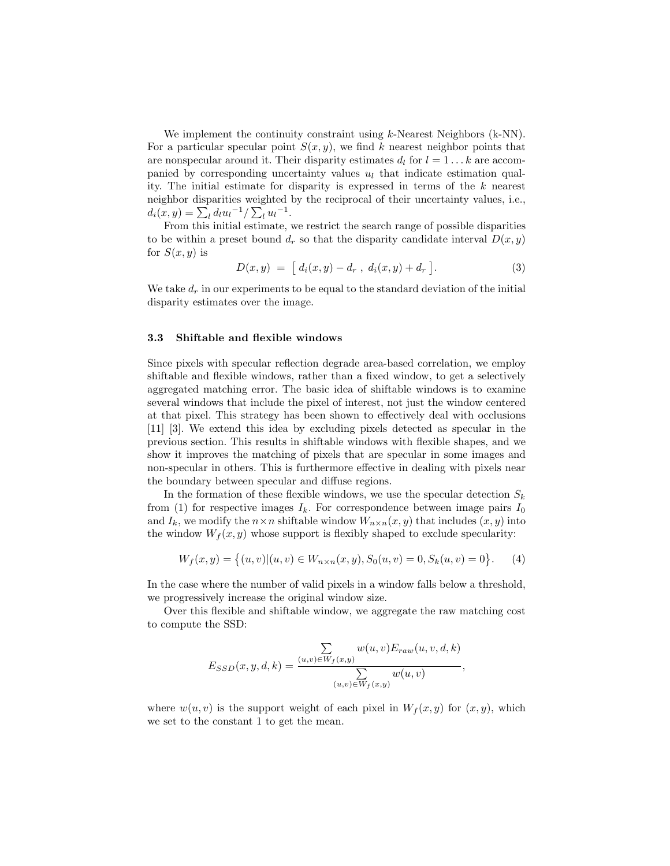We implement the continuity constraint using  $k$ -Nearest Neighbors (k-NN). For a particular specular point  $S(x, y)$ , we find k nearest neighbor points that are nonspecular around it. Their disparity estimates  $d_l$  for  $l = 1...k$  are accompanied by corresponding uncertainty values  $u_l$  that indicate estimation quality. The initial estimate for disparity is expressed in terms of the  $k$  nearest neighbor disparities weighted by the reciprocal of their uncertainty values, i.e., P neignior disparities weighted<br>  $d_i(x, y) = \sum_l d_l u_l^{-1} / \sum_l u_l^{-1}.$ 

From this initial estimate, we restrict the search range of possible disparities to be within a preset bound  $d_r$  so that the disparity candidate interval  $D(x, y)$ for  $S(x, y)$  is l<br>E

$$
D(x, y) = [d_i(x, y) - d_r, d_i(x, y) + d_r]. \tag{3}
$$

We take  $d_r$  in our experiments to be equal to the standard deviation of the initial disparity estimates over the image.

#### 3.3 Shiftable and flexible windows

Since pixels with specular reflection degrade area-based correlation, we employ shiftable and flexible windows, rather than a fixed window, to get a selectively aggregated matching error. The basic idea of shiftable windows is to examine several windows that include the pixel of interest, not just the window centered at that pixel. This strategy has been shown to effectively deal with occlusions [11] [3]. We extend this idea by excluding pixels detected as specular in the previous section. This results in shiftable windows with flexible shapes, and we show it improves the matching of pixels that are specular in some images and non-specular in others. This is furthermore effective in dealing with pixels near the boundary between specular and diffuse regions.

In the formation of these flexible windows, we use the specular detection  $S_k$ from (1) for respective images  $I_k$ . For correspondence between image pairs  $I_0$ and  $I_k$ , we modify the  $n \times n$  shiftable window  $W_{n \times n}(x, y)$  that includes  $(x, y)$  into the window  $W_f(x, y)$  whose support is flexibly shaped to exclude specularity:

$$
W_f(x,y) = \{(u,v)|(u,v) \in W_{n \times n}(x,y), S_0(u,v) = 0, S_k(u,v) = 0\}.
$$
 (4)

In the case where the number of valid pixels in a window falls below a threshold, we progressively increase the original window size.

Over this flexible and shiftable window, we aggregate the raw matching cost to compute the SSD:

$$
E_{SSD}(x, y, d, k) = \frac{\sum_{(u,v)\in W_f(x,y)} w(u,v) E_{raw}(u,v,d,k)}{\sum_{(u,v)\in W_f(x,y)} w(u,v)},
$$

where  $w(u, v)$  is the support weight of each pixel in  $W_f(x, y)$  for  $(x, y)$ , which we set to the constant 1 to get the mean.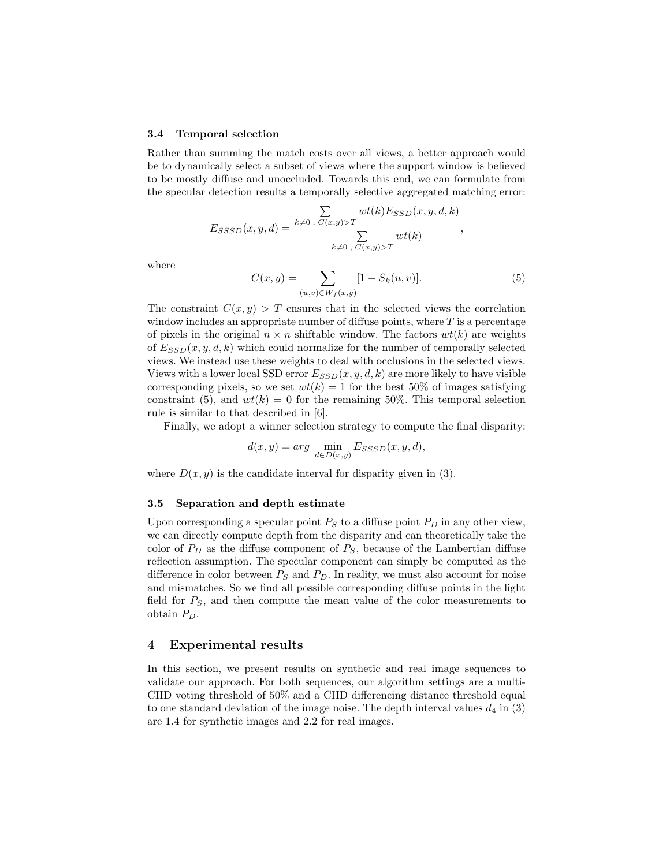#### 3.4 Temporal selection

Rather than summing the match costs over all views, a better approach would be to dynamically select a subset of views where the support window is believed to be mostly diffuse and unoccluded. Towards this end, we can formulate from the specular detection results a temporally selective aggregated matching error:

$$
E_{SSSD}(x, y, d) = \frac{\sum\limits_{k \neq 0} \sum\limits_{C(x,y) > T} wt(k) E_{SSD}(x, y, d, k)}{\sum\limits_{k \neq 0} \sum\limits_{C(x,y) > T} wt(k)},
$$

where

$$
C(x,y) = \sum_{(u,v)\in W_f(x,y)} [1 - S_k(u,v)].
$$
\n(5)

The constraint  $C(x, y) > T$  ensures that in the selected views the correlation window includes an appropriate number of diffuse points, where  $T$  is a percentage of pixels in the original  $n \times n$  shiftable window. The factors  $wt(k)$  are weights of  $E_{SSD}(x, y, d, k)$  which could normalize for the number of temporally selected views. We instead use these weights to deal with occlusions in the selected views. Views with a lower local SSD error  $E_{SSD}(x, y, d, k)$  are more likely to have visible corresponding pixels, so we set  $wt(k) = 1$  for the best 50% of images satisfying constraint (5), and  $wt(k) = 0$  for the remaining 50%. This temporal selection rule is similar to that described in [6].

Finally, we adopt a winner selection strategy to compute the final disparity:

$$
d(x,y) = arg \min_{d \in D(x,y)} E_{SSSD}(x,y,d),
$$

where  $D(x, y)$  is the candidate interval for disparity given in (3).

#### 3.5 Separation and depth estimate

Upon corresponding a specular point  $P_S$  to a diffuse point  $P_D$  in any other view, we can directly compute depth from the disparity and can theoretically take the color of  $P_D$  as the diffuse component of  $P_S$ , because of the Lambertian diffuse reflection assumption. The specular component can simply be computed as the difference in color between  $P_S$  and  $P_D$ . In reality, we must also account for noise and mismatches. So we find all possible corresponding diffuse points in the light field for  $P<sub>S</sub>$ , and then compute the mean value of the color measurements to obtain  $P_D$ .

### 4 Experimental results

In this section, we present results on synthetic and real image sequences to validate our approach. For both sequences, our algorithm settings are a multi-CHD voting threshold of 50% and a CHD differencing distance threshold equal to one standard deviation of the image noise. The depth interval values  $d_4$  in (3) are 1.4 for synthetic images and 2.2 for real images.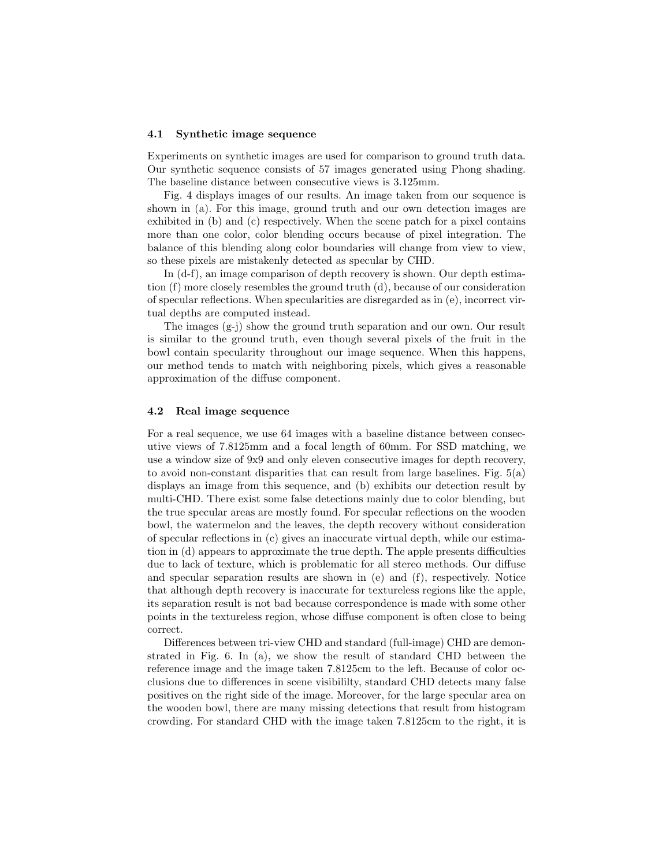#### 4.1 Synthetic image sequence

Experiments on synthetic images are used for comparison to ground truth data. Our synthetic sequence consists of 57 images generated using Phong shading. The baseline distance between consecutive views is 3.125mm.

Fig. 4 displays images of our results. An image taken from our sequence is shown in (a). For this image, ground truth and our own detection images are exhibited in (b) and (c) respectively. When the scene patch for a pixel contains more than one color, color blending occurs because of pixel integration. The balance of this blending along color boundaries will change from view to view, so these pixels are mistakenly detected as specular by CHD.

In (d-f), an image comparison of depth recovery is shown. Our depth estimation (f) more closely resembles the ground truth (d), because of our consideration of specular reflections. When specularities are disregarded as in (e), incorrect virtual depths are computed instead.

The images  $(g-i)$  show the ground truth separation and our own. Our result is similar to the ground truth, even though several pixels of the fruit in the bowl contain specularity throughout our image sequence. When this happens, our method tends to match with neighboring pixels, which gives a reasonable approximation of the diffuse component.

#### 4.2 Real image sequence

For a real sequence, we use 64 images with a baseline distance between consecutive views of 7.8125mm and a focal length of 60mm. For SSD matching, we use a window size of 9x9 and only eleven consecutive images for depth recovery, to avoid non-constant disparities that can result from large baselines. Fig. 5(a) displays an image from this sequence, and (b) exhibits our detection result by multi-CHD. There exist some false detections mainly due to color blending, but the true specular areas are mostly found. For specular reflections on the wooden bowl, the watermelon and the leaves, the depth recovery without consideration of specular reflections in (c) gives an inaccurate virtual depth, while our estimation in (d) appears to approximate the true depth. The apple presents difficulties due to lack of texture, which is problematic for all stereo methods. Our diffuse and specular separation results are shown in (e) and (f), respectively. Notice that although depth recovery is inaccurate for textureless regions like the apple, its separation result is not bad because correspondence is made with some other points in the textureless region, whose diffuse component is often close to being correct.

Differences between tri-view CHD and standard (full-image) CHD are demonstrated in Fig. 6. In (a), we show the result of standard CHD between the reference image and the image taken 7.8125cm to the left. Because of color occlusions due to differences in scene visibililty, standard CHD detects many false positives on the right side of the image. Moreover, for the large specular area on the wooden bowl, there are many missing detections that result from histogram crowding. For standard CHD with the image taken 7.8125cm to the right, it is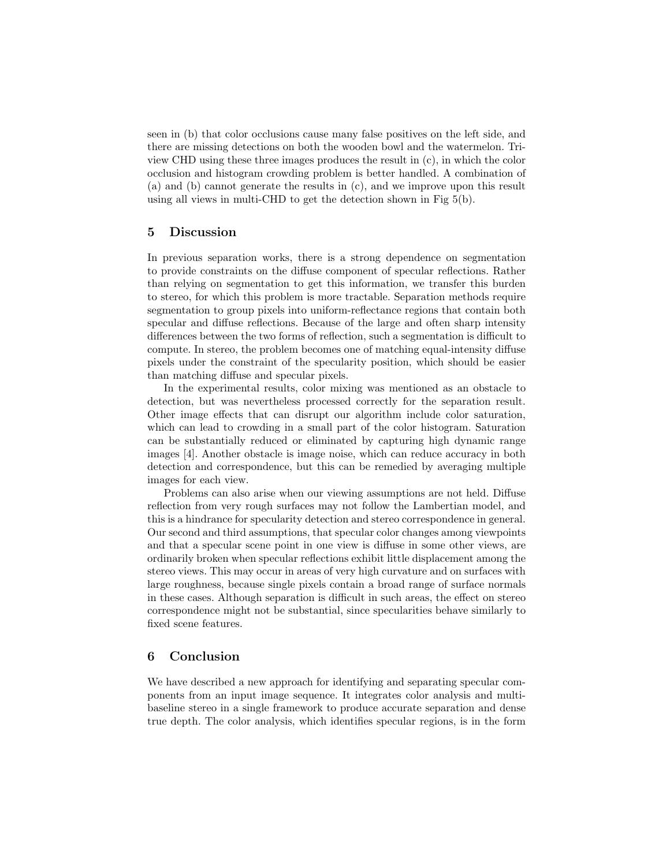seen in (b) that color occlusions cause many false positives on the left side, and there are missing detections on both the wooden bowl and the watermelon. Triview CHD using these three images produces the result in (c), in which the color occlusion and histogram crowding problem is better handled. A combination of (a) and (b) cannot generate the results in (c), and we improve upon this result using all views in multi-CHD to get the detection shown in Fig 5(b).

## 5 Discussion

In previous separation works, there is a strong dependence on segmentation to provide constraints on the diffuse component of specular reflections. Rather than relying on segmentation to get this information, we transfer this burden to stereo, for which this problem is more tractable. Separation methods require segmentation to group pixels into uniform-reflectance regions that contain both specular and diffuse reflections. Because of the large and often sharp intensity differences between the two forms of reflection, such a segmentation is difficult to compute. In stereo, the problem becomes one of matching equal-intensity diffuse pixels under the constraint of the specularity position, which should be easier than matching diffuse and specular pixels.

In the experimental results, color mixing was mentioned as an obstacle to detection, but was nevertheless processed correctly for the separation result. Other image effects that can disrupt our algorithm include color saturation, which can lead to crowding in a small part of the color histogram. Saturation can be substantially reduced or eliminated by capturing high dynamic range images [4]. Another obstacle is image noise, which can reduce accuracy in both detection and correspondence, but this can be remedied by averaging multiple images for each view.

Problems can also arise when our viewing assumptions are not held. Diffuse reflection from very rough surfaces may not follow the Lambertian model, and this is a hindrance for specularity detection and stereo correspondence in general. Our second and third assumptions, that specular color changes among viewpoints and that a specular scene point in one view is diffuse in some other views, are ordinarily broken when specular reflections exhibit little displacement among the stereo views. This may occur in areas of very high curvature and on surfaces with large roughness, because single pixels contain a broad range of surface normals in these cases. Although separation is difficult in such areas, the effect on stereo correspondence might not be substantial, since specularities behave similarly to fixed scene features.

## 6 Conclusion

We have described a new approach for identifying and separating specular components from an input image sequence. It integrates color analysis and multibaseline stereo in a single framework to produce accurate separation and dense true depth. The color analysis, which identifies specular regions, is in the form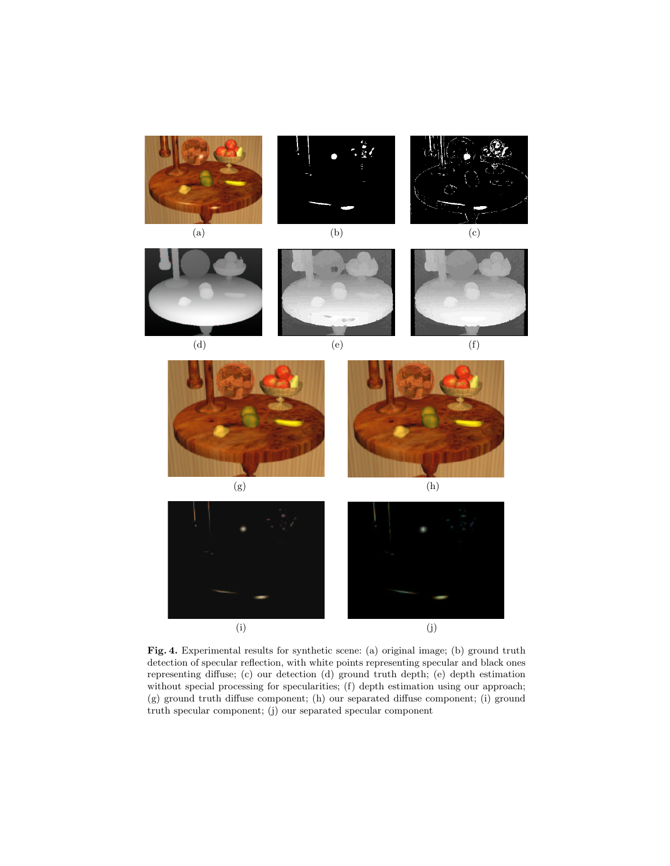











Fig. 4. Experimental results for synthetic scene: (a) original image; (b) ground truth detection of specular reflection, with white points representing specular and black ones representing diffuse; (c) our detection (d) ground truth depth; (e) depth estimation without special processing for specularities; (f) depth estimation using our approach; (g) ground truth diffuse component; (h) our separated diffuse component; (i) ground truth specular component; (j) our separated specular component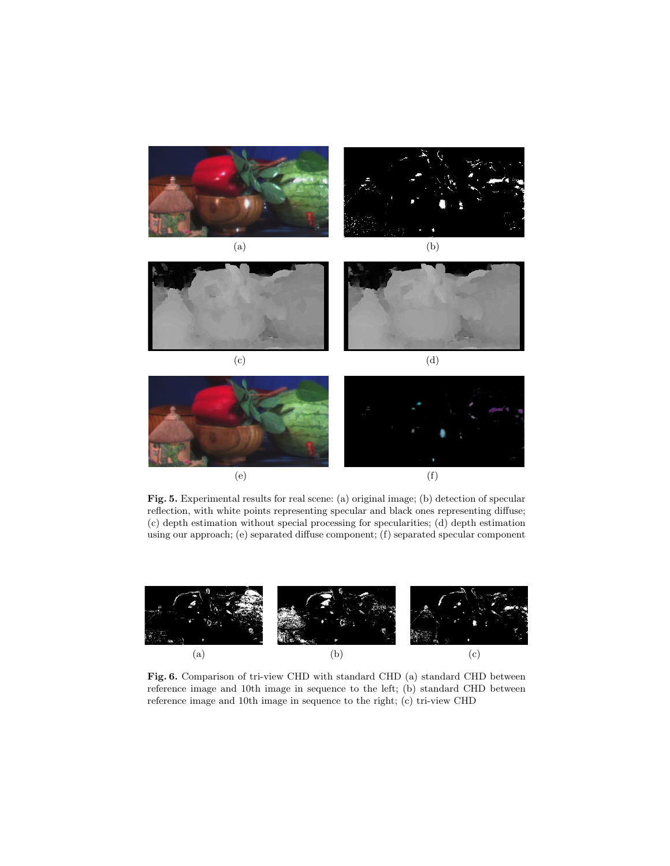





Fig. 5. Experimental results for real scene: (a) original image; (b) detection of specular reflection, with white points representing specular and black ones representing diffuse; (c) depth estimation without special processing for specularities; (d) depth estimation using our approach; (e) separated diffuse component; (f) separated specular component



Fig. 6. Comparison of tri-view CHD with standard CHD (a) standard CHD between reference image and 10th image in sequence to the left; (b) standard CHD between reference image and 10th image in sequence to the right; (c) tri-view CHD